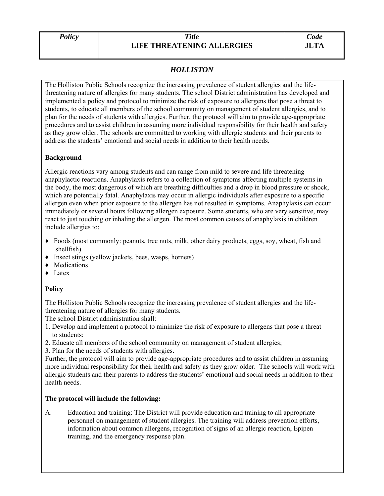#### *Policy Title*  **LIFE THREATENING ALLERGIES**

# *HOLLISTON*

The Holliston Public Schools recognize the increasing prevalence of student allergies and the lifethreatening nature of allergies for many students. The school District administration has developed and implemented a policy and protocol to minimize the risk of exposure to allergens that pose a threat to students, to educate all members of the school community on management of student allergies, and to plan for the needs of students with allergies. Further, the protocol will aim to provide age-appropriate procedures and to assist children in assuming more individual responsibility for their health and safety as they grow older. The schools are committed to working with allergic students and their parents to address the students' emotional and social needs in addition to their health needs.

## **Background**

Allergic reactions vary among students and can range from mild to severe and life threatening anaphylactic reactions. Anaphylaxis refers to a collection of symptoms affecting multiple systems in the body, the most dangerous of which are breathing difficulties and a drop in blood pressure or shock, which are potentially fatal. Anaphylaxis may occur in allergic individuals after exposure to a specific allergen even when prior exposure to the allergen has not resulted in symptoms. Anaphylaxis can occur immediately or several hours following allergen exposure. Some students, who are very sensitive, may react to just touching or inhaling the allergen. The most common causes of anaphylaxis in children include allergies to:

- ♦ Foods (most commonly: peanuts, tree nuts, milk, other dairy products, eggs, soy, wheat, fish and shellfish)
- ♦ Insect stings (yellow jackets, bees, wasps, hornets)
- ♦ Medications
- ♦ Latex

## **Policy**

The Holliston Public Schools recognize the increasing prevalence of student allergies and the lifethreatening nature of allergies for many students.

The school District administration shall:

- 1. Develop and implement a protocol to minimize the risk of exposure to allergens that pose a threat to students;
- 2. Educate all members of the school community on management of student allergies;
- 3. Plan for the needs of students with allergies.

Further, the protocol will aim to provide age-appropriate procedures and to assist children in assuming more individual responsibility for their health and safety as they grow older. The schools will work with allergic students and their parents to address the students' emotional and social needs in addition to their health needs.

#### **The protocol will include the following:**

A. Education and training: The District will provide education and training to all appropriate personnel on management of student allergies. The training will address prevention efforts, information about common allergens, recognition of signs of an allergic reaction, Epipen training, and the emergency response plan.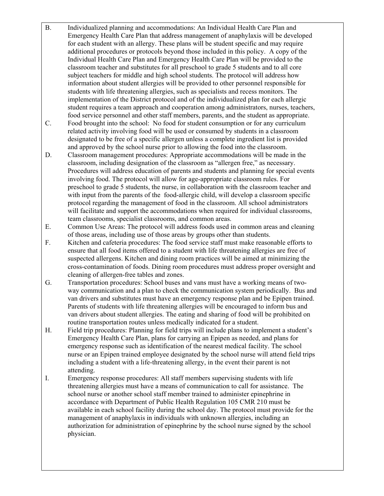- B. Individualized planning and accommodations: An Individual Health Care Plan and Emergency Health Care Plan that address management of anaphylaxis will be developed for each student with an allergy. These plans will be student specific and may require additional procedures or protocols beyond those included in this policy. A copy of the Individual Health Care Plan and Emergency Health Care Plan will be provided to the classroom teacher and substitutes for all preschool to grade 5 students and to all core subject teachers for middle and high school students. The protocol will address how information about student allergies will be provided to other personnel responsible for students with life threatening allergies, such as specialists and recess monitors. The implementation of the District protocol and of the individualized plan for each allergic student requires a team approach and cooperation among administrators, nurses, teachers, food service personnel and other staff members, parents, and the student as appropriate.
- C. Food brought into the school: No food for student consumption or for any curriculum related activity involving food will be used or consumed by students in a classroom designated to be free of a specific allergen unless a complete ingredient list is provided and approved by the school nurse prior to allowing the food into the classroom.
- D. Classroom management procedures: Appropriate accommodations will be made in the classroom, including designation of the classroom as "allergen free," as necessary. Procedures will address education of parents and students and planning for special events involving food. The protocol will allow for age-appropriate classroom rules. For preschool to grade 5 students, the nurse, in collaboration with the classroom teacher and with input from the parents of the food-allergic child, will develop a classroom specific protocol regarding the management of food in the classroom. All school administrators will facilitate and support the accommodations when required for individual classrooms, team classrooms, specialist classrooms, and common areas.
- E. Common Use Areas: The protocol will address foods used in common areas and cleaning of those areas, including use of those areas by groups other than students.
- F. Kitchen and cafeteria procedures: The food service staff must make reasonable efforts to ensure that all food items offered to a student with life threatening allergies are free of suspected allergens. Kitchen and dining room practices will be aimed at minimizing the cross-contamination of foods. Dining room procedures must address proper oversight and cleaning of allergen-free tables and zones.
- G. Transportation procedures: School buses and vans must have a working means of two way communication and a plan to check the communication system periodically. Bus and van drivers and substitutes must have an emergency response plan and be Epipen trained. Parents of students with life threatening allergies will be encouraged to inform bus and van drivers about student allergies. The eating and sharing of food will be prohibited on routine transportation routes unless medically indicated for a student.
- H. Field trip procedures: Planning for field trips will include plans to implement a student's Emergency Health Care Plan, plans for carrying an Epipen as needed, and plans for emergency response such as identification of the nearest medical facility. The school nurse or an Epipen trained employee designated by the school nurse will attend field trips including a student with a life-threatening allergy, in the event their parent is not attending.
- I. Emergency response procedures: All staff members supervising students with life threatening allergies must have a means of communication to call for assistance. The school nurse or another school staff member trained to administer epinephrine in accordance with Department of Public Health Regulation 105 CMR 210 must be available in each school facility during the school day. The protocol must provide for the management of anaphylaxis in individuals with unknown allergies, including an authorization for administration of epinephrine by the school nurse signed by the school physician.